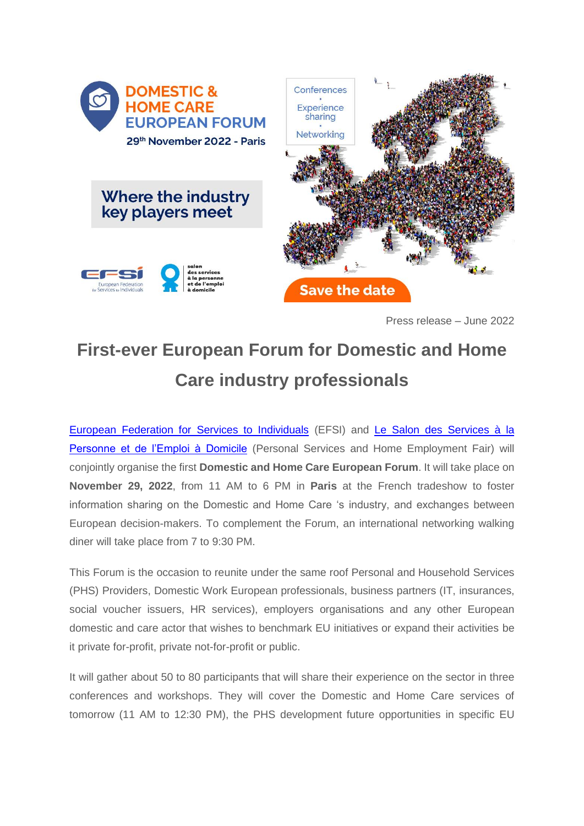

Press release – June 2022

## **First-ever European Forum for Domestic and Home Care industry professionals**

[European Federation for Services to Individuals](http://www.efsi-europe.eu/about-us/what-is-efsi/) (EFSI) and [Le Salon des Services à la](https://www.salon-services-personne.com/)  [Personne et de l'Emploi à Domicile](https://www.salon-services-personne.com/) (Personal Services and Home Employment Fair) will conjointly organise the first **Domestic and Home Care European Forum**. It will take place on **November 29, 2022**, from 11 AM to 6 PM in **Paris** at the French tradeshow to foster information sharing on the Domestic and Home Care 's industry, and exchanges between European decision-makers. To complement the Forum, an international networking walking diner will take place from 7 to 9:30 PM.

This Forum is the occasion to reunite under the same roof Personal and Household Services (PHS) Providers, Domestic Work European professionals, business partners (IT, insurances, social voucher issuers, HR services), employers organisations and any other European domestic and care actor that wishes to benchmark EU initiatives or expand their activities be it private for-profit, private not-for-profit or public.

It will gather about 50 to 80 participants that will share their experience on the sector in three conferences and workshops. They will cover the Domestic and Home Care services of tomorrow (11 AM to 12:30 PM), the PHS development future opportunities in specific EU